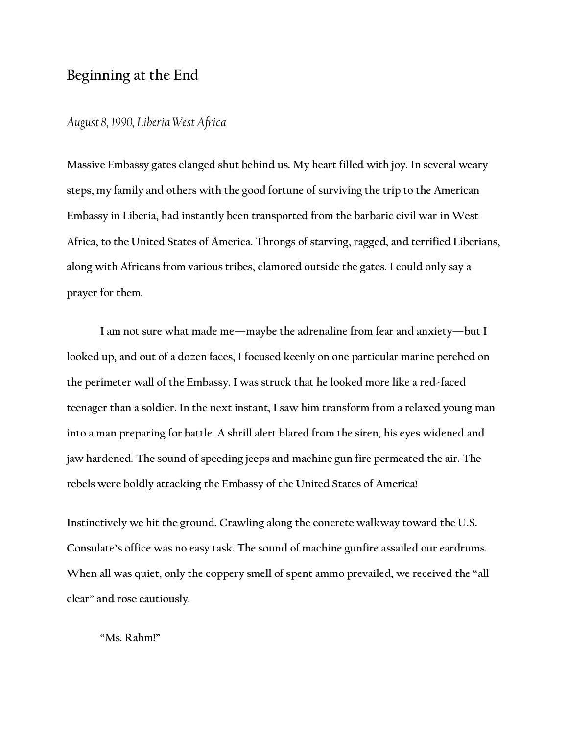## **Beginning at the End**

## *August 8, 1990, Liberia West Africa*

**Massive Embassy gates clanged shut behind us. My heart filled with joy. In several weary steps, my family and others with the good fortune of surviving the trip to the American Embassy in Liberia, had instantly been transported from the barbaric civil war in West Africa, to the United States of America. Throngs of starving, ragged, and terrified Liberians, along with Africans from various tribes, clamored outside the gates. I could only say a prayer for them.** 

**I am not sure what made me—maybe the adrenaline from fear and anxiety—but I looked up, and out of a dozen faces, I focused keenly on one particular marine perched on the perimeter wall of the Embassy. I was struck that he looked more like a red-faced teenager than a soldier. In the next instant, I saw him transform from a relaxed young man into a man preparing for battle. A shrill alert blared from the siren, his eyes widened and jaw hardened. The sound of speeding jeeps and machine gun fire permeated the air. The rebels were boldly attacking the Embassy of the United States of America!**

**Instinctively we hit the ground. Crawling along the concrete walkway toward the U.S. Consulate"s office was no easy task. The sound of machine gunfire assailed our eardrums.**  When all was quiet, only the coppery smell of spent ammo prevailed, we received the "all **clear" and rose cautiously.** 

**"Ms. Rahm!"**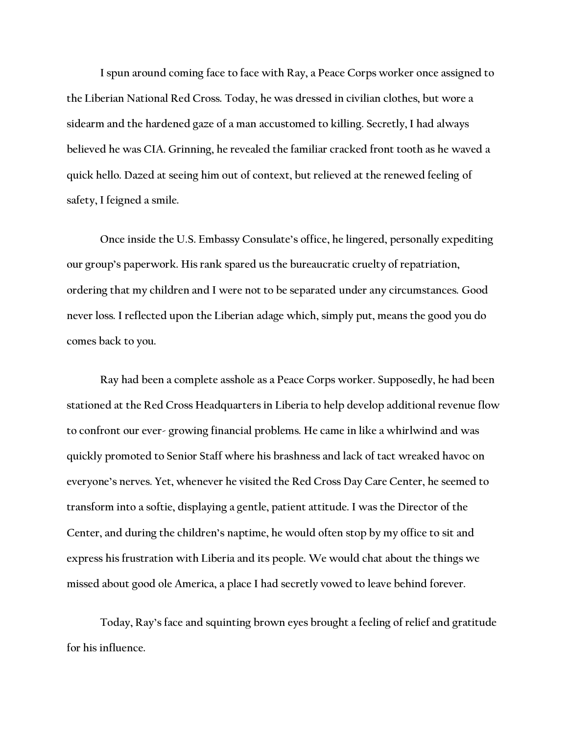**I spun around coming face to face with Ray, a Peace Corps worker once assigned to the Liberian National Red Cross. Today, he was dressed in civilian clothes, but wore a sidearm and the hardened gaze of a man accustomed to killing. Secretly, I had always believed he was CIA. Grinning, he revealed the familiar cracked front tooth as he waved a quick hello. Dazed at seeing him out of context, but relieved at the renewed feeling of safety, I feigned a smile.** 

**Once inside the U.S. Embassy Consulate"s office, he lingered, personally expediting our group"s paperwork. His rank spared us the bureaucratic cruelty of repatriation, ordering that my children and I were not to be separated under any circumstances. Good never loss. I reflected upon the Liberian adage which, simply put, means the good you do comes back to you.** 

**Ray had been a complete asshole as a Peace Corps worker. Supposedly, he had been stationed at the Red Cross Headquarters in Liberia to help develop additional revenue flow to confront our ever- growing financial problems. He came in like a whirlwind and was quickly promoted to Senior Staff where his brashness and lack of tact wreaked havoc on everyone"s nerves. Yet, whenever he visited the Red Cross Day Care Center, he seemed to transform into a softie, displaying a gentle, patient attitude. I was the Director of the Center, and during the children"s naptime, he would often stop by my office to sit and express his frustration with Liberia and its people. We would chat about the things we missed about good ole America, a place I had secretly vowed to leave behind forever.** 

**Today, Ray"s face and squinting brown eyes brought a feeling of relief and gratitude for his influence.**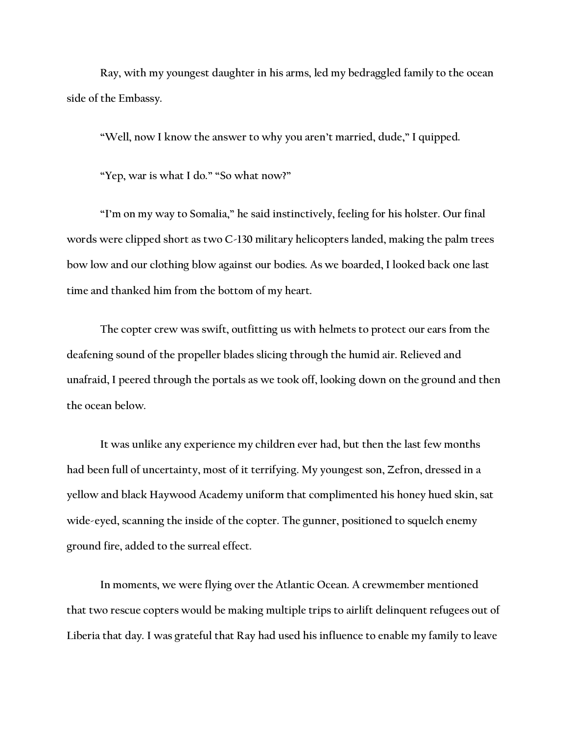**Ray, with my youngest daughter in his arms, led my bedraggled family to the ocean side of the Embassy.** 

**"Well, now I know the answer to why you aren"t married, dude," I quipped.** 

**"Yep, war is what I do." "So what now?"** 

**"I"m on my way to Somalia," he said instinctively, feeling for his holster. Our final words were clipped short as two C-130 military helicopters landed, making the palm trees bow low and our clothing blow against our bodies. As we boarded, I looked back one last time and thanked him from the bottom of my heart.** 

**The copter crew was swift, outfitting us with helmets to protect our ears from the deafening sound of the propeller blades slicing through the humid air. Relieved and unafraid, I peered through the portals as we took off, looking down on the ground and then the ocean below.** 

**It was unlike any experience my children ever had, but then the last few months had been full of uncertainty, most of it terrifying. My youngest son, Zefron, dressed in a yellow and black Haywood Academy uniform that complimented his honey hued skin, sat wide-eyed, scanning the inside of the copter. The gunner, positioned to squelch enemy ground fire, added to the surreal effect.** 

**In moments, we were flying over the Atlantic Ocean. A crewmember mentioned that two rescue copters would be making multiple trips to airlift delinquent refugees out of Liberia that day. I was grateful that Ray had used his influence to enable my family to leave**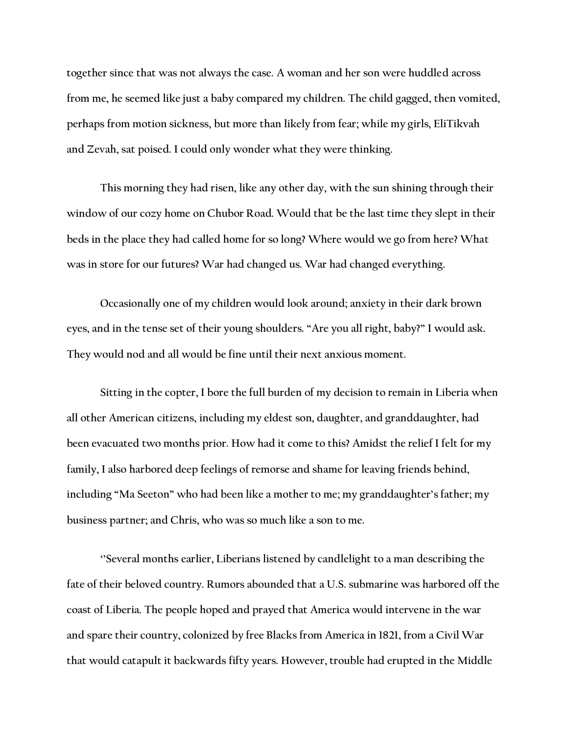**together since that was not always the case. A woman and her son were huddled across from me, he seemed like just a baby compared my children. The child gagged, then vomited, perhaps from motion sickness, but more than likely from fear; while my girls, EliTikvah and Zevah, sat poised. I could only wonder what they were thinking.** 

**This morning they had risen, like any other day, with the sun shining through their window of our cozy home on Chubor Road. Would that be the last time they slept in their beds in the place they had called home for so long? Where would we go from here? What was in store for our futures? War had changed us. War had changed everything.** 

**Occasionally one of my children would look around; anxiety in their dark brown eyes, and in the tense set of their young shoulders. "Are you all right, baby?" I would ask. They would nod and all would be fine until their next anxious moment.**

**Sitting in the copter, I bore the full burden of my decision to remain in Liberia when all other American citizens, including my eldest son, daughter, and granddaughter, had been evacuated two months prior. How had it come to this? Amidst the relief I felt for my family, I also harbored deep feelings of remorse and shame for leaving friends behind, including "Ma Seeton" who had been like a mother to me; my granddaughter"s father; my business partner; and Chris, who was so much like a son to me.** 

**""Several months earlier, Liberians listened by candlelight to a man describing the fate of their beloved country. Rumors abounded that a U.S. submarine was harbored off the coast of Liberia. The people hoped and prayed that America would intervene in the war and spare their country, colonized by free Blacks from America in 1821, from a Civil War that would catapult it backwards fifty years. However, trouble had erupted in the Middle**